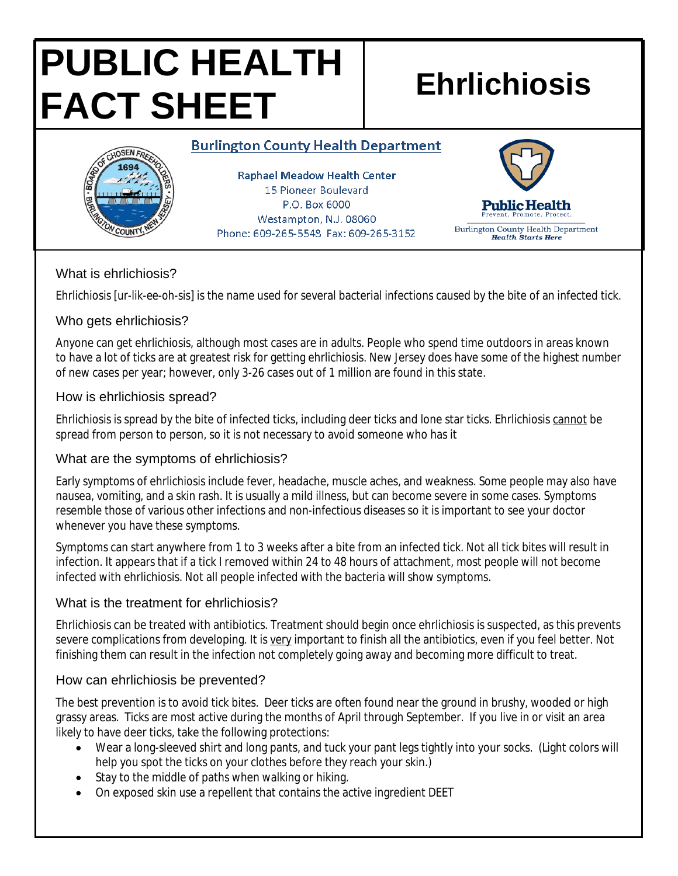# **PUBLIC HEALTH FACT SHEET Ehrlichiosis**

#### **Burlington County Health Department**



**Raphael Meadow Health Center** 15 Pioneer Boulevard P.O. Box 6000 Westampton, N.J. 08060 Phone: 609-265-5548 Fax: 609-265-3152



#### What is ehrlichiosis?

Ehrlichiosis [*ur-lik-ee-oh-sis*] is the name used for several bacterial infections caused by the bite of an infected tick.

#### Who gets ehrlichiosis?

Anyone can get ehrlichiosis, although most cases are in adults. People who spend time outdoors in areas known to have a lot of ticks are at greatest risk for getting ehrlichiosis. New Jersey does have some of the highest number of new cases per year; however, only 3-26 cases out of 1 million are found in this state.

#### How is ehrlichiosis spread?

Ehrlichiosis is spread by the bite of infected ticks, including deer ticks and lone star ticks. Ehrlichiosis cannot be spread from person to person, so it is not necessary to avoid someone who has it

### What are the symptoms of ehrlichiosis?

Early symptoms of ehrlichiosis include fever, headache, muscle aches, and weakness. Some people may also have nausea, vomiting, and a skin rash. It is usually a mild illness, but can become severe in some cases. Symptoms resemble those of various other infections and non-infectious diseases so it is important to see your doctor whenever you have these symptoms.

Symptoms can start anywhere from 1 to 3 weeks after a bite from an infected tick. Not all tick bites will result in infection. It appears that if a tick I removed within 24 to 48 hours of attachment, most people will not become infected with ehrlichiosis. Not all people infected with the bacteria will show symptoms.

### What is the treatment for ehrlichiosis?

Ehrlichiosis can be treated with antibiotics. Treatment should begin once ehrlichiosis is suspected, as this prevents severe complications from developing. It is very important to finish all the antibiotics, even if you feel better. Not finishing them can result in the infection not completely going away and becoming more difficult to treat.

### How can ehrlichiosis be prevented?

The best prevention is to avoid tick bites. Deer ticks are often found near the ground in brushy, wooded or high grassy areas. Ticks are most active during the months of April through September. If you live in or visit an area likely to have deer ticks, take the following protections:

- Wear a long-sleeved shirt and long pants, and tuck your pant legs tightly into your socks. (Light colors will help you spot the ticks on your clothes before they reach your skin.)
- Stay to the middle of paths when walking or hiking.
- On exposed skin use a repellent that contains the active ingredient DEET